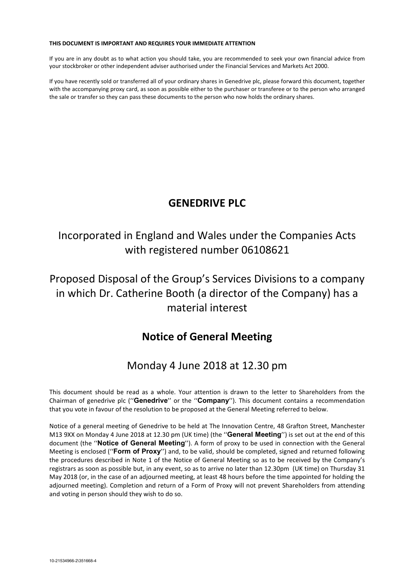### **THIS DOCUMENT IS IMPORTANT AND REQUIRES YOUR IMMEDIATE ATTENTION**

If you are in any doubt as to what action you should take, you are recommended to seek your own financial advice from your stockbroker or other independent adviser authorised under the Financial Services and Markets Act 2000.

If you have recently sold or transferred all of your ordinary shares in Genedrive plc, please forward this document, together with the accompanying proxy card, as soon as possible either to the purchaser or transferee or to the person who arranged the sale or transfer so they can pass these documents to the person who now holds the ordinary shares.

# **GENEDRIVE PLC**

# Incorporated in England and Wales under the Companies Acts with registered number 06108621

# Proposed Disposal of the Group's Services Divisions to a company in which Dr. Catherine Booth (a director of the Company) has a material interest

# **Notice of General Meeting**

# Monday 4 June 2018 at 12.30 pm

This document should be read as a whole. Your attention is drawn to the letter to Shareholders from the Chairman of genedrive plc (''**Genedrive**'' or the ''**Company**''). This document contains a recommendation that you vote in favour of the resolution to be proposed at the General Meeting referred to below.

Notice of a general meeting of Genedrive to be held at The Innovation Centre, 48 Grafton Street, Manchester M13 9XX on Monday 4 June 2018 at 12.30 pm (UK time) (the ''**General Meeting**'') is set out at the end of this document (the ''**Notice of General Meeting**''). A form of proxy to be used in connection with the General Meeting is enclosed (''**Form of Proxy**'') and, to be valid, should be completed, signed and returned following the procedures described in Note 1 of the Notice of General Meeting so as to be received by the Company's registrars as soon as possible but, in any event, so as to arrive no later than 12.30pm (UK time) on Thursday 31 May 2018 (or, in the case of an adjourned meeting, at least 48 hours before the time appointed for holding the adjourned meeting). Completion and return of a Form of Proxy will not prevent Shareholders from attending and voting in person should they wish to do so.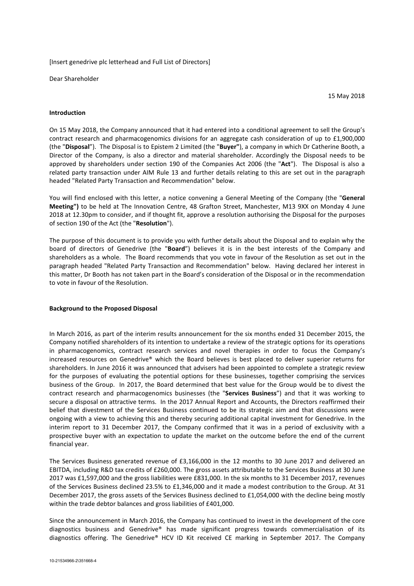### [Insert genedrive plc letterhead and Full List of Directors]

Dear Shareholder

15 May 2018

#### **Introduction**

On 15 May 2018, the Company announced that it had entered into a conditional agreement to sell the Group's contract research and pharmacogenomics divisions for an aggregate cash consideration of up to £1,900,000 (the "**Disposal**"). The Disposal is to Epistem 2 Limited (the "**Buyer"**), a company in which Dr Catherine Booth, a Director of the Company, is also a director and material shareholder. Accordingly the Disposal needs to be approved by shareholders under section 190 of the Companies Act 2006 (the "**Act**"). The Disposal is also a related party transaction under AIM Rule 13 and further details relating to this are set out in the paragraph headed "Related Party Transaction and Recommendation" below.

You will find enclosed with this letter, a notice convening a General Meeting of the Company (the "**General Meeting")** to be held at The Innovation Centre, 48 Grafton Street, Manchester, M13 9XX on Monday 4 June 2018 at 12.30pm to consider, and if thought fit, approve a resolution authorising the Disposal for the purposes of section 190 of the Act (the "**Resolution**").

The purpose of this document is to provide you with further details about the Disposal and to explain why the board of directors of Genedrive (the "**Board**") believes it is in the best interests of the Company and shareholders as a whole. The Board recommends that you vote in favour of the Resolution as set out in the paragraph headed "Related Party Transaction and Recommendation" below. Having declared her interest in this matter, Dr Booth has not taken part in the Board's consideration of the Disposal or in the recommendation to vote in favour of the Resolution.

### **Background to the Proposed Disposal**

In March 2016, as part of the interim results announcement for the six months ended 31 December 2015, the Company notified shareholders of its intention to undertake a review of the strategic options for its operations in pharmacogenomics, contract research services and novel therapies in order to focus the Company's increased resources on Genedrive® which the Board believes is best placed to deliver superior returns for shareholders. In June 2016 it was announced that advisers had been appointed to complete a strategic review for the purposes of evaluating the potential options for these businesses, together comprising the services business of the Group. In 2017, the Board determined that best value for the Group would be to divest the contract research and pharmacogenomics businesses (the "**Services Business**") and that it was working to secure a disposal on attractive terms. In the 2017 Annual Report and Accounts, the Directors reaffirmed their belief that divestment of the Services Business continued to be its strategic aim and that discussions were ongoing with a view to achieving this and thereby securing additional capital investment for Genedrive. In the interim report to 31 December 2017, the Company confirmed that it was in a period of exclusivity with a prospective buyer with an expectation to update the market on the outcome before the end of the current financial year.

The Services Business generated revenue of £3,166,000 in the 12 months to 30 June 2017 and delivered an EBITDA, including R&D tax credits of £260,000. The gross assets attributable to the Services Business at 30 June 2017 was £1,597,000 and the gross liabilities were £831,000. In the six months to 31 December 2017, revenues of the Services Business declined 23.5% to £1,346,000 and it made a modest contribution to the Group. At 31 December 2017, the gross assets of the Services Business declined to £1,054,000 with the decline being mostly within the trade debtor balances and gross liabilities of £401,000.

Since the announcement in March 2016, the Company has continued to invest in the development of the core diagnostics business and Genedrive® has made significant progress towards commercialisation of its diagnostics offering. The Genedrive® HCV ID Kit received CE marking in September 2017. The Company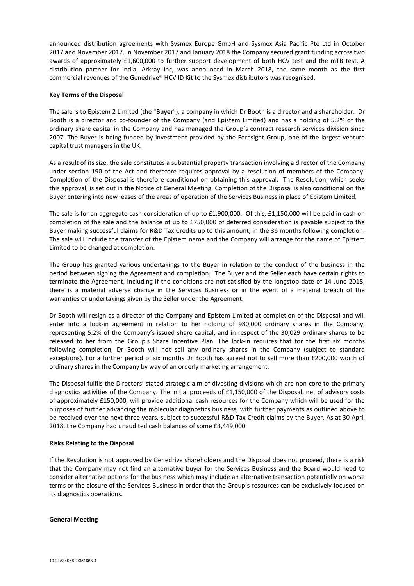announced distribution agreements with Sysmex Europe GmbH and Sysmex Asia Pacific Pte Ltd in October 2017 and November 2017. In November 2017 and January 2018 the Company secured grant funding across two awards of approximately £1,600,000 to further support development of both HCV test and the mTB test. A distribution partner for India, Arkray Inc, was announced in March 2018, the same month as the first commercial revenues of the Genedrive® HCV ID Kit to the Sysmex distributors was recognised.

# **Key Terms of the Disposal**

The sale is to Epistem 2 Limited (the "**Buyer**"), a company in which Dr Booth is a director and a shareholder. Dr Booth is a director and co-founder of the Company (and Epistem Limited) and has a holding of 5.2% of the ordinary share capital in the Company and has managed the Group's contract research services division since 2007. The Buyer is being funded by investment provided by the Foresight Group, one of the largest venture capital trust managers in the UK.

As a result of its size, the sale constitutes a substantial property transaction involving a director of the Company under section 190 of the Act and therefore requires approval by a resolution of members of the Company. Completion of the Disposal is therefore conditional on obtaining this approval. The Resolution, which seeks this approval, is set out in the Notice of General Meeting. Completion of the Disposal is also conditional on the Buyer entering into new leases of the areas of operation of the Services Business in place of Epistem Limited.

The sale is for an aggregate cash consideration of up to £1,900,000. Of this, £1,150,000 will be paid in cash on completion of the sale and the balance of up to £750,000 of deferred consideration is payable subject to the Buyer making successful claims for R&D Tax Credits up to this amount, in the 36 months following completion. The sale will include the transfer of the Epistem name and the Company will arrange for the name of Epistem Limited to be changed at completion.

The Group has granted various undertakings to the Buyer in relation to the conduct of the business in the period between signing the Agreement and completion. The Buyer and the Seller each have certain rights to terminate the Agreement, including if the conditions are not satisfied by the longstop date of 14 June 2018, there is a material adverse change in the Services Business or in the event of a material breach of the warranties or undertakings given by the Seller under the Agreement.

Dr Booth will resign as a director of the Company and Epistem Limited at completion of the Disposal and will enter into a lock-in agreement in relation to her holding of 980,000 ordinary shares in the Company, representing 5.2% of the Company's issued share capital, and in respect of the 30,029 ordinary shares to be released to her from the Group's Share Incentive Plan. The lock-in requires that for the first six months following completion, Dr Booth will not sell any ordinary shares in the Company (subject to standard exceptions). For a further period of six months Dr Booth has agreed not to sell more than £200,000 worth of ordinary shares in the Company by way of an orderly marketing arrangement.

The Disposal fulfils the Directors' stated strategic aim of divesting divisions which are non-core to the primary diagnostics activities of the Company. The initial proceeds of £1,150,000 of the Disposal, net of advisors costs of approximately £150,000, will provide additional cash resources for the Company which will be used for the purposes of further advancing the molecular diagnostics business, with further payments as outlined above to be received over the next three years, subject to successful R&D Tax Credit claims by the Buyer. As at 30 April 2018, the Company had unaudited cash balances of some £3,449,000.

### **Risks Relating to the Disposal**

If the Resolution is not approved by Genedrive shareholders and the Disposal does not proceed, there is a risk that the Company may not find an alternative buyer for the Services Business and the Board would need to consider alternative options for the business which may include an alternative transaction potentially on worse terms or the closure of the Services Business in order that the Group's resources can be exclusively focused on its diagnostics operations.

### **General Meeting**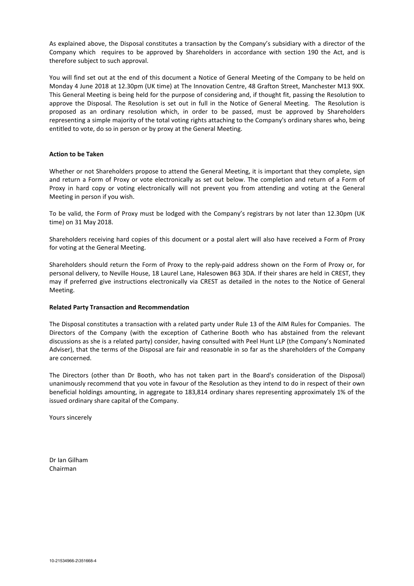As explained above, the Disposal constitutes a transaction by the Company's subsidiary with a director of the Company which requires to be approved by Shareholders in accordance with section 190 the Act, and is therefore subject to such approval.

You will find set out at the end of this document a Notice of General Meeting of the Company to be held on Monday 4 June 2018 at 12.30pm (UK time) at The Innovation Centre, 48 Grafton Street, Manchester M13 9XX. This General Meeting is being held for the purpose of considering and, if thought fit, passing the Resolution to approve the Disposal. The Resolution is set out in full in the Notice of General Meeting. The Resolution is proposed as an ordinary resolution which, in order to be passed, must be approved by Shareholders representing a simple majority of the total voting rights attaching to the Company's ordinary shares who, being entitled to vote, do so in person or by proxy at the General Meeting.

# **Action to be Taken**

Whether or not Shareholders propose to attend the General Meeting, it is important that they complete, sign and return a Form of Proxy or vote electronically as set out below. The completion and return of a Form of Proxy in hard copy or voting electronically will not prevent you from attending and voting at the General Meeting in person if you wish.

To be valid, the Form of Proxy must be lodged with the Company's registrars by not later than 12.30pm (UK time) on 31 May 2018.

Shareholders receiving hard copies of this document or a postal alert will also have received a Form of Proxy for voting at the General Meeting.

Shareholders should return the Form of Proxy to the reply-paid address shown on the Form of Proxy or, for personal delivery, to Neville House, 18 Laurel Lane, Halesowen B63 3DA. If their shares are held in CREST, they may if preferred give instructions electronically via CREST as detailed in the notes to the Notice of General Meeting.

# **Related Party Transaction and Recommendation**

The Disposal constitutes a transaction with a related party under Rule 13 of the AIM Rules for Companies. The Directors of the Company (with the exception of Catherine Booth who has abstained from the relevant discussions as she is a related party) consider, having consulted with Peel Hunt LLP (the Company's Nominated Adviser), that the terms of the Disposal are fair and reasonable in so far as the shareholders of the Company are concerned.

The Directors (other than Dr Booth, who has not taken part in the Board's consideration of the Disposal) unanimously recommend that you vote in favour of the Resolution as they intend to do in respect of their own beneficial holdings amounting, in aggregate to 183,814 ordinary shares representing approximately 1% of the issued ordinary share capital of the Company.

Yours sincerely

Dr Ian Gilham Chairman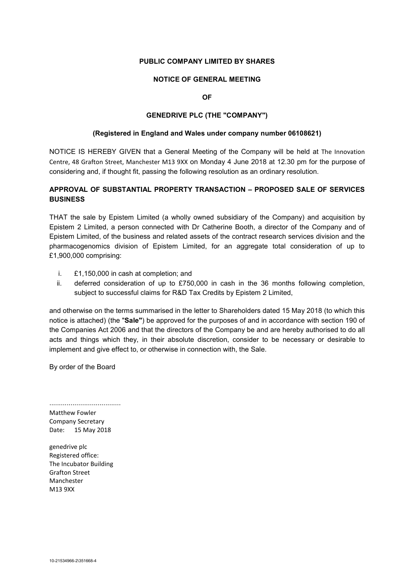# **PUBLIC COMPANY LIMITED BY SHARES**

# **NOTICE OF GENERAL MEETING**

**OF** 

# **GENEDRIVE PLC (THE "COMPANY")**

# **(Registered in England and Wales under company number 06108621)**

NOTICE IS HEREBY GIVEN that a General Meeting of the Company will be held at The Innovation Centre, 48 Grafton Street, Manchester M13 9XX on Monday 4 June 2018 at 12.30 pm for the purpose of considering and, if thought fit, passing the following resolution as an ordinary resolution.

# **APPROVAL OF SUBSTANTIAL PROPERTY TRANSACTION – PROPOSED SALE OF SERVICES BUSINESS**

THAT the sale by Epistem Limited (a wholly owned subsidiary of the Company) and acquisition by Epistem 2 Limited, a person connected with Dr Catherine Booth, a director of the Company and of Epistem Limited, of the business and related assets of the contract research services division and the pharmacogenomics division of Epistem Limited, for an aggregate total consideration of up to £1,900,000 comprising:

- i. £1,150,000 in cash at completion; and
- ii. deferred consideration of up to £750,000 in cash in the 36 months following completion, subject to successful claims for R&D Tax Credits by Epistem 2 Limited,

and otherwise on the terms summarised in the letter to Shareholders dated 15 May 2018 (to which this notice is attached) (the "**Sale"**) be approved for the purposes of and in accordance with section 190 of the Companies Act 2006 and that the directors of the Company be and are hereby authorised to do all acts and things which they, in their absolute discretion, consider to be necessary or desirable to implement and give effect to, or otherwise in connection with, the Sale.

By order of the Board

..................................... Matthew Fowler Company Secretary Date: 15 May 2018

genedrive plc Registered office: The Incubator Building Grafton Street Manchester M13 9XX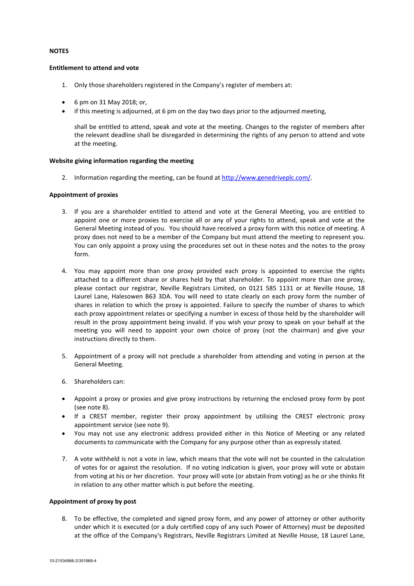# **NOTES**

### **Entitlement to attend and vote**

- 1. Only those shareholders registered in the Company's register of members at:
- 6 pm on 31 May 2018; or,
- if this meeting is adjourned, at 6 pm on the day two days prior to the adjourned meeting,

shall be entitled to attend, speak and vote at the meeting. Changes to the register of members after the relevant deadline shall be disregarded in determining the rights of any person to attend and vote at the meeting.

# **Website giving information regarding the meeting**

2. Information regarding the meeting, can be found at http://www.genedriveplc.com/.

# **Appointment of proxies**

- 3. If you are a shareholder entitled to attend and vote at the General Meeting, you are entitled to appoint one or more proxies to exercise all or any of your rights to attend, speak and vote at the General Meeting instead of you. You should have received a proxy form with this notice of meeting. A proxy does not need to be a member of the Company but must attend the meeting to represent you. You can only appoint a proxy using the procedures set out in these notes and the notes to the proxy form.
- 4. You may appoint more than one proxy provided each proxy is appointed to exercise the rights attached to a different share or shares held by that shareholder. To appoint more than one proxy, please contact our registrar, Neville Registrars Limited, on 0121 585 1131 or at Neville House, 18 Laurel Lane, Halesowen B63 3DA. You will need to state clearly on each proxy form the number of shares in relation to which the proxy is appointed. Failure to specify the number of shares to which each proxy appointment relates or specifying a number in excess of those held by the shareholder will result in the proxy appointment being invalid. If you wish your proxy to speak on your behalf at the meeting you will need to appoint your own choice of proxy (not the chairman) and give your instructions directly to them.
- 5. Appointment of a proxy will not preclude a shareholder from attending and voting in person at the General Meeting.
- 6. Shareholders can:
- Appoint a proxy or proxies and give proxy instructions by returning the enclosed proxy form by post (see note 8).
- If a CREST member, register their proxy appointment by utilising the CREST electronic proxy appointment service (see note 9).
- You may not use any electronic address provided either in this Notice of Meeting or any related documents to communicate with the Company for any purpose other than as expressly stated.
- 7. A vote withheld is not a vote in law, which means that the vote will not be counted in the calculation of votes for or against the resolution. If no voting indication is given, your proxy will vote or abstain from voting at his or her discretion. Your proxy will vote (or abstain from voting) as he or she thinks fit in relation to any other matter which is put before the meeting.

### **Appointment of proxy by post**

8. To be effective, the completed and signed proxy form, and any power of attorney or other authority under which it is executed (or a duly certified copy of any such Power of Attorney) must be deposited at the office of the Company's Registrars, Neville Registrars Limited at Neville House, 18 Laurel Lane,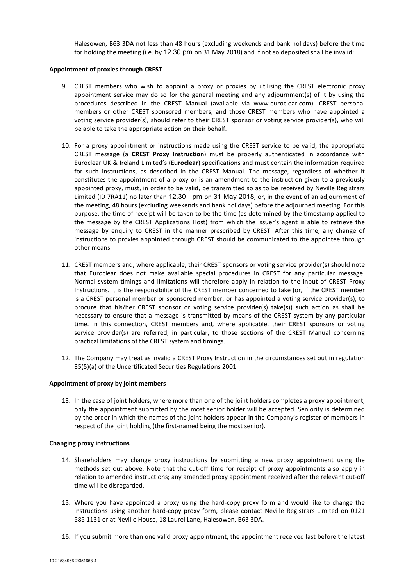Halesowen, B63 3DA not less than 48 hours (excluding weekends and bank holidays) before the time for holding the meeting (i.e. by 12.30 pm on 31 May 2018) and if not so deposited shall be invalid;

# **Appointment of proxies through CREST**

- 9. CREST members who wish to appoint a proxy or proxies by utilising the CREST electronic proxy appointment service may do so for the general meeting and any adjournment(s) of it by using the procedures described in the CREST Manual (available via www.euroclear.com). CREST personal members or other CREST sponsored members, and those CREST members who have appointed a voting service provider(s), should refer to their CREST sponsor or voting service provider(s), who will be able to take the appropriate action on their behalf.
- 10. For a proxy appointment or instructions made using the CREST service to be valid, the appropriate CREST message (a **CREST Proxy Instruction**) must be properly authenticated in accordance with Euroclear UK & Ireland Limited's (**Euroclear**) specifications and must contain the information required for such instructions, as described in the CREST Manual. The message, regardless of whether it constitutes the appointment of a proxy or is an amendment to the instruction given to a previously appointed proxy, must, in order to be valid, be transmitted so as to be received by Neville Registrars Limited (ID 7RA11) no later than 12.30 pm on 31 May 2018, or, in the event of an adjournment of the meeting, 48 hours (excluding weekends and bank holidays) before the adjourned meeting. For this purpose, the time of receipt will be taken to be the time (as determined by the timestamp applied to the message by the CREST Applications Host) from which the issuer's agent is able to retrieve the message by enquiry to CREST in the manner prescribed by CREST. After this time, any change of instructions to proxies appointed through CREST should be communicated to the appointee through other means.
- 11. CREST members and, where applicable, their CREST sponsors or voting service provider(s) should note that Euroclear does not make available special procedures in CREST for any particular message. Normal system timings and limitations will therefore apply in relation to the input of CREST Proxy Instructions. It is the responsibility of the CREST member concerned to take (or, if the CREST member is a CREST personal member or sponsored member, or has appointed a voting service provider(s), to procure that his/her CREST sponsor or voting service provider(s) take(s)) such action as shall be necessary to ensure that a message is transmitted by means of the CREST system by any particular time. In this connection, CREST members and, where applicable, their CREST sponsors or voting service provider(s) are referred, in particular, to those sections of the CREST Manual concerning practical limitations of the CREST system and timings.
- 12. The Company may treat as invalid a CREST Proxy Instruction in the circumstances set out in regulation 35(5)(a) of the Uncertificated Securities Regulations 2001.

### **Appointment of proxy by joint members**

13. In the case of joint holders, where more than one of the joint holders completes a proxy appointment, only the appointment submitted by the most senior holder will be accepted. Seniority is determined by the order in which the names of the joint holders appear in the Company's register of members in respect of the joint holding (the first-named being the most senior).

### **Changing proxy instructions**

- 14. Shareholders may change proxy instructions by submitting a new proxy appointment using the methods set out above. Note that the cut-off time for receipt of proxy appointments also apply in relation to amended instructions; any amended proxy appointment received after the relevant cut-off time will be disregarded.
- 15. Where you have appointed a proxy using the hard-copy proxy form and would like to change the instructions using another hard-copy proxy form, please contact Neville Registrars Limited on 0121 585 1131 or at Neville House, 18 Laurel Lane, Halesowen, B63 3DA.
- 16. If you submit more than one valid proxy appointment, the appointment received last before the latest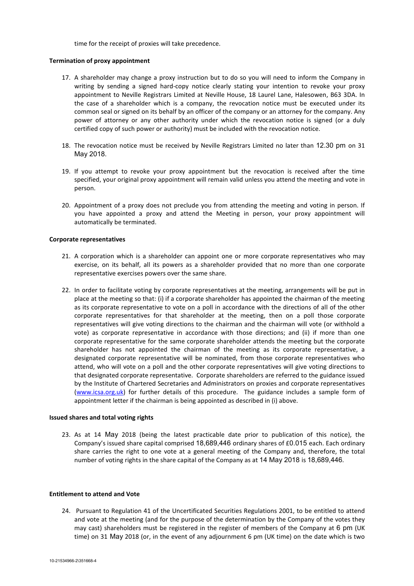time for the receipt of proxies will take precedence.

### **Termination of proxy appointment**

- 17. A shareholder may change a proxy instruction but to do so you will need to inform the Company in writing by sending a signed hard-copy notice clearly stating your intention to revoke your proxy appointment to Neville Registrars Limited at Neville House, 18 Laurel Lane, Halesowen, B63 3DA. In the case of a shareholder which is a company, the revocation notice must be executed under its common seal or signed on its behalf by an officer of the company or an attorney for the company. Any power of attorney or any other authority under which the revocation notice is signed (or a duly certified copy of such power or authority) must be included with the revocation notice.
- 18. The revocation notice must be received by Neville Registrars Limited no later than 12.30 pm on 31 May 2018.
- 19. If you attempt to revoke your proxy appointment but the revocation is received after the time specified, your original proxy appointment will remain valid unless you attend the meeting and vote in person.
- 20. Appointment of a proxy does not preclude you from attending the meeting and voting in person. If you have appointed a proxy and attend the Meeting in person, your proxy appointment will automatically be terminated.

### **Corporate representatives**

- 21. A corporation which is a shareholder can appoint one or more corporate representatives who may exercise, on its behalf, all its powers as a shareholder provided that no more than one corporate representative exercises powers over the same share.
- 22. In order to facilitate voting by corporate representatives at the meeting, arrangements will be put in place at the meeting so that: (i) if a corporate shareholder has appointed the chairman of the meeting as its corporate representative to vote on a poll in accordance with the directions of all of the other corporate representatives for that shareholder at the meeting, then on a poll those corporate representatives will give voting directions to the chairman and the chairman will vote (or withhold a vote) as corporate representative in accordance with those directions; and (ii) if more than one corporate representative for the same corporate shareholder attends the meeting but the corporate shareholder has not appointed the chairman of the meeting as its corporate representative, a designated corporate representative will be nominated, from those corporate representatives who attend, who will vote on a poll and the other corporate representatives will give voting directions to that designated corporate representative. Corporate shareholders are referred to the guidance issued by the Institute of Chartered Secretaries and Administrators on proxies and corporate representatives (www.icsa.org.uk) for further details of this procedure. The guidance includes a sample form of appointment letter if the chairman is being appointed as described in (i) above.

#### **Issued shares and total voting rights**

23. As at 14 May 2018 (being the latest practicable date prior to publication of this notice), the Company's issued share capital comprised 18,689,446 ordinary shares of £0.015 each. Each ordinary share carries the right to one vote at a general meeting of the Company and, therefore, the total number of voting rights in the share capital of the Company as at 14 May 2018 is 18,689,446.

#### **Entitlement to attend and Vote**

24. Pursuant to Regulation 41 of the Uncertificated Securities Regulations 2001, to be entitled to attend and vote at the meeting (and for the purpose of the determination by the Company of the votes they may cast) shareholders must be registered in the register of members of the Company at 6 pm (UK time) on 31 May 2018 (or, in the event of any adjournment 6 pm (UK time) on the date which is two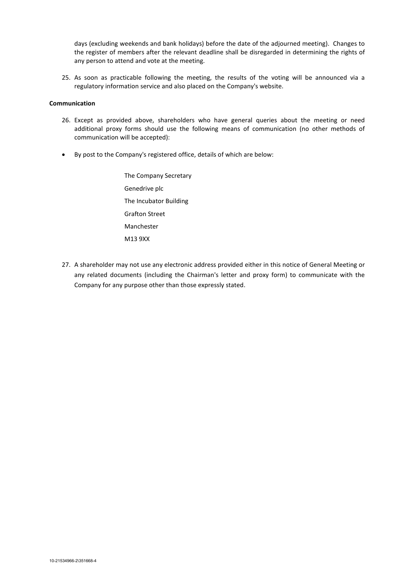days (excluding weekends and bank holidays) before the date of the adjourned meeting). Changes to the register of members after the relevant deadline shall be disregarded in determining the rights of any person to attend and vote at the meeting.

25. As soon as practicable following the meeting, the results of the voting will be announced via a regulatory information service and also placed on the Company's website.

### **Communication**

- 26. Except as provided above, shareholders who have general queries about the meeting or need additional proxy forms should use the following means of communication (no other methods of communication will be accepted):
- By post to the Company's registered office, details of which are below:
	- The Company Secretary Genedrive plc The Incubator Building Grafton Street Manchester M13 9XX
- 27. A shareholder may not use any electronic address provided either in this notice of General Meeting or any related documents (including the Chairman's letter and proxy form) to communicate with the Company for any purpose other than those expressly stated.